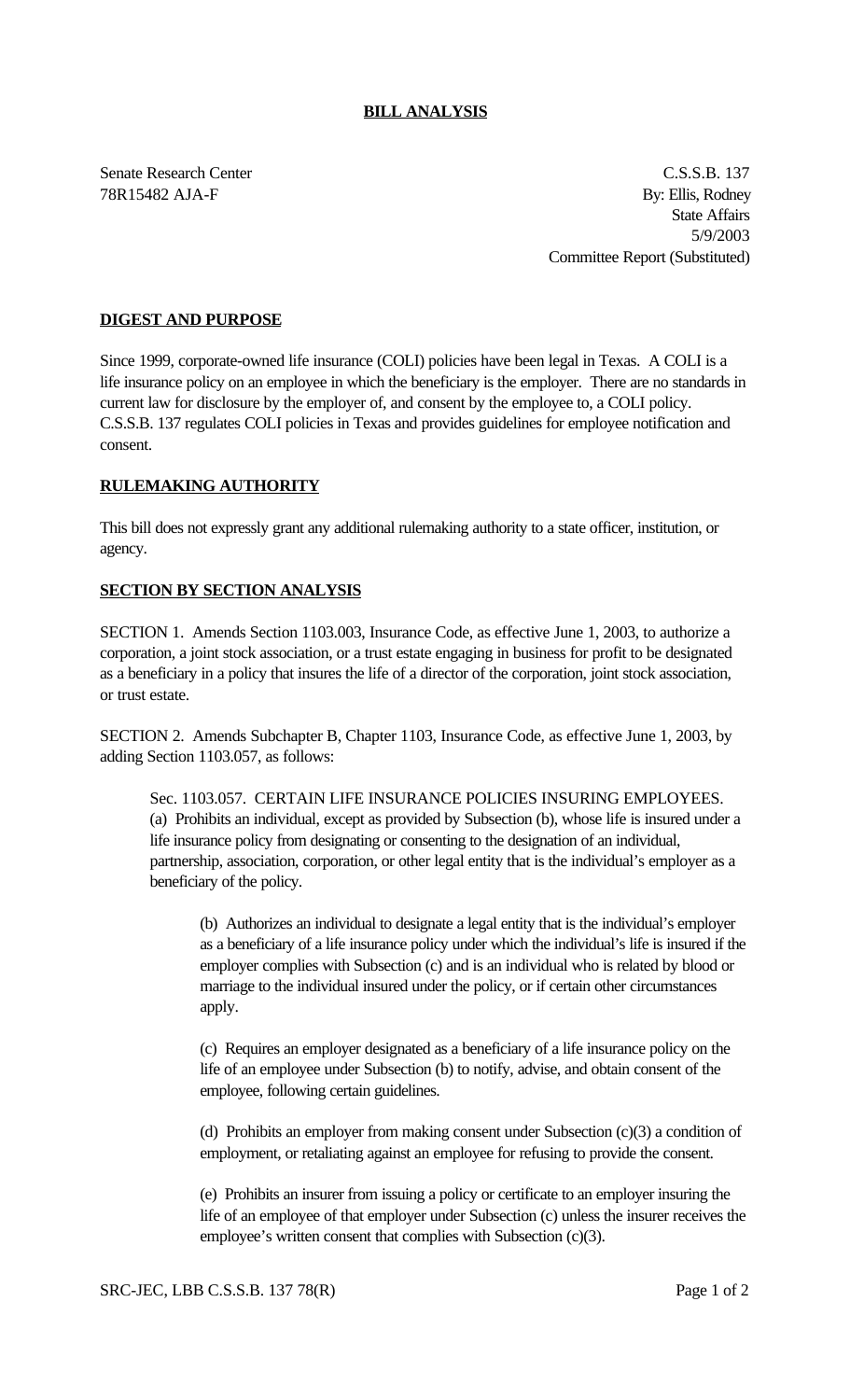## **BILL ANALYSIS**

Senate Research Center C.S.S.B. 137 78R15482 AJA-F By: Ellis, Rodney State Affairs 5/9/2003 Committee Report (Substituted)

## **DIGEST AND PURPOSE**

Since 1999, corporate-owned life insurance (COLI) policies have been legal in Texas. A COLI is a life insurance policy on an employee in which the beneficiary is the employer. There are no standards in current law for disclosure by the employer of, and consent by the employee to, a COLI policy. C.S.S.B. 137 regulates COLI policies in Texas and provides guidelines for employee notification and consent.

## **RULEMAKING AUTHORITY**

This bill does not expressly grant any additional rulemaking authority to a state officer, institution, or agency.

## **SECTION BY SECTION ANALYSIS**

SECTION 1. Amends Section 1103.003, Insurance Code, as effective June 1, 2003, to authorize a corporation, a joint stock association, or a trust estate engaging in business for profit to be designated as a beneficiary in a policy that insures the life of a director of the corporation, joint stock association, or trust estate.

SECTION 2. Amends Subchapter B, Chapter 1103, Insurance Code, as effective June 1, 2003, by adding Section 1103.057, as follows:

Sec. 1103.057. CERTAIN LIFE INSURANCE POLICIES INSURING EMPLOYEES. (a) Prohibits an individual, except as provided by Subsection (b), whose life is insured under a life insurance policy from designating or consenting to the designation of an individual, partnership, association, corporation, or other legal entity that is the individual's employer as a beneficiary of the policy.

(b) Authorizes an individual to designate a legal entity that is the individual's employer as a beneficiary of a life insurance policy under which the individual's life is insured if the employer complies with Subsection (c) and is an individual who is related by blood or marriage to the individual insured under the policy, or if certain other circumstances apply.

(c) Requires an employer designated as a beneficiary of a life insurance policy on the life of an employee under Subsection (b) to notify, advise, and obtain consent of the employee, following certain guidelines.

(d) Prohibits an employer from making consent under Subsection (c)(3) a condition of employment, or retaliating against an employee for refusing to provide the consent.

(e) Prohibits an insurer from issuing a policy or certificate to an employer insuring the life of an employee of that employer under Subsection (c) unless the insurer receives the employee's written consent that complies with Subsection (c)(3).